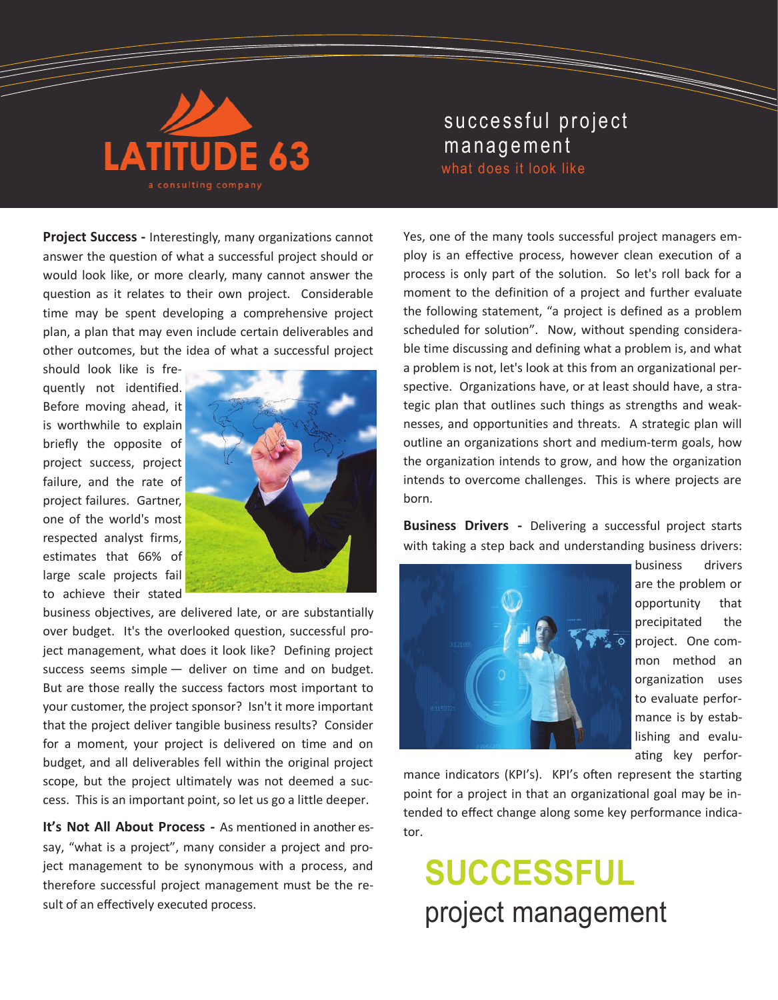

## successful project management what does it look like

**Project Success -** Interestingly, many organizations cannot answer the question of what a successful project should or would look like, or more clearly, many cannot answer the question as it relates to their own project. Considerable time may be spent developing a comprehensive project plan, a plan that may even include certain deliverables and other outcomes, but the idea of what a successful project

should look like is frequently not identified. Before moving ahead, it is worthwhile to explain briefly the opposite of project success, project failure, and the rate of project failures. Gartner, one of the world's most respected analyst firms, estimates that 66% of large scale projects fail to achieve their stated



business objectives, are delivered late, or are substantially over budget. It's the overlooked question, successful project management, what does it look like? Defining project success seems simple — deliver on time and on budget. But are those really the success factors most important to your customer, the project sponsor? Isn't it more important that the project deliver tangible business results? Consider for a moment, your project is delivered on time and on budget, and all deliverables fell within the original project scope, but the project ultimately was not deemed a success. This is an important point, so let us go a little deeper.

**It's Not All About Process -** As mentioned in another essay, "what is a project", many consider a project and project management to be synonymous with a process, and therefore successful project management must be the result of an effectively executed process.

Yes, one of the many tools successful project managers employ is an effective process, however clean execution of a process is only part of the solution. So let's roll back for a moment to the definition of a project and further evaluate the following statement, "a project is defined as a problem scheduled for solution". Now, without spending considerable time discussing and defining what a problem is, and what a problem is not, let's look at this from an organizational perspective. Organizations have, or at least should have, a strategic plan that outlines such things as strengths and weaknesses, and opportunities and threats. A strategic plan will outline an organizations short and medium-term goals, how the organization intends to grow, and how the organization intends to overcome challenges. This is where projects are born.

**Business Drivers -** Delivering a successful project starts with taking a step back and understanding business drivers:



business drivers are the problem or opportunity that precipitated the project. One common method an organization uses to evaluate performance is by establishing and evaluating key perfor-

mance indicators (KPI's). KPI's often represent the starting point for a project in that an organizational goal may be intended to effect change along some key performance indicator.

## **SUCCESSFUL**  project management